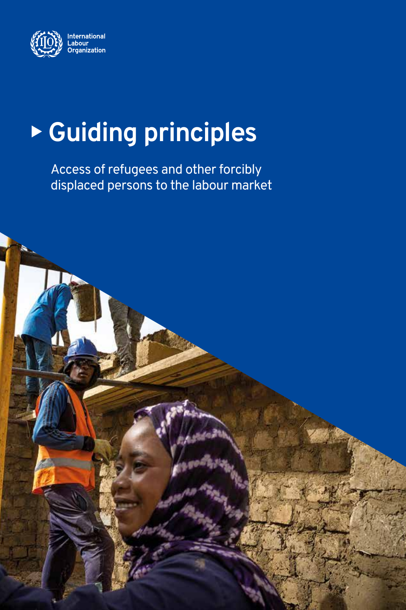

# <sup>X</sup> **Guiding principles**

Access of refugees and other forcibly displaced persons to the labour market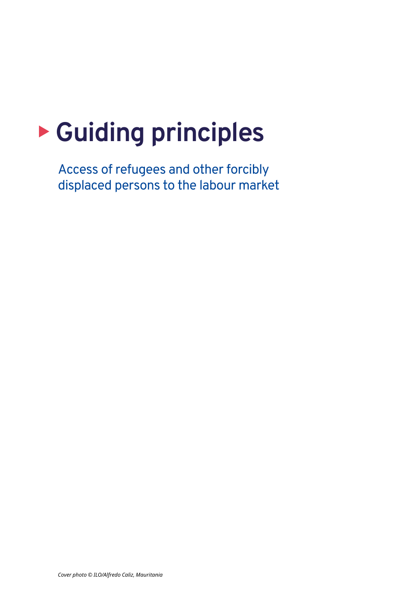## **E** Guiding principles

Access of refugees and other forcibly displaced persons to the labour market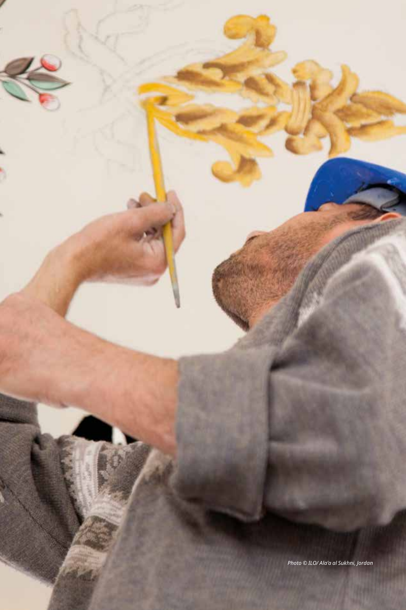*Photo © ILO/ Ala'a al Sukhni, Jordan*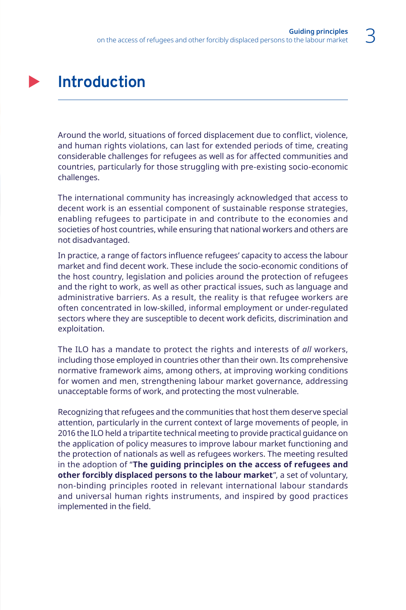#### **Introduction**

Around the world, situations of forced displacement due to conflict, violence, and human rights violations, can last for extended periods of time, creating considerable challenges for refugees as well as for affected communities and countries, particularly for those struggling with pre-existing socio-economic challenges.

The international community has increasingly acknowledged that access to decent work is an essential component of sustainable response strategies, enabling refugees to participate in and contribute to the economies and societies of host countries, while ensuring that national workers and others are not disadvantaged.

In practice, a range of factors influence refugees' capacity to access the labour market and find decent work. These include the socio-economic conditions of the host country, legislation and policies around the protection of refugees and the right to work, as well as other practical issues, such as language and administrative barriers. As a result, the reality is that refugee workers are often concentrated in low-skilled, informal employment or under-regulated sectors where they are susceptible to decent work deficits, discrimination and exploitation.

The ILO has a mandate to protect the rights and interests of *all* workers, including those employed in countries other than their own. Its comprehensive normative framework aims, among others, at improving working conditions for women and men, strengthening labour market governance, addressing unacceptable forms of work, and protecting the most vulnerable.

Recognizing that refugees and the communities that host them deserve special attention, particularly in the current context of large movements of people, in 2016 the ILO held a tripartite technical meeting to provide practical guidance on the application of policy measures to improve labour market functioning and the protection of nationals as well as refugees workers. The meeting resulted in the adoption of "**The guiding principles on the access of refugees and other forcibly displaced persons to the labour market**", a set of voluntary, non-binding principles rooted in relevant international labour standards and universal human rights instruments, and inspired by good practices implemented in the field.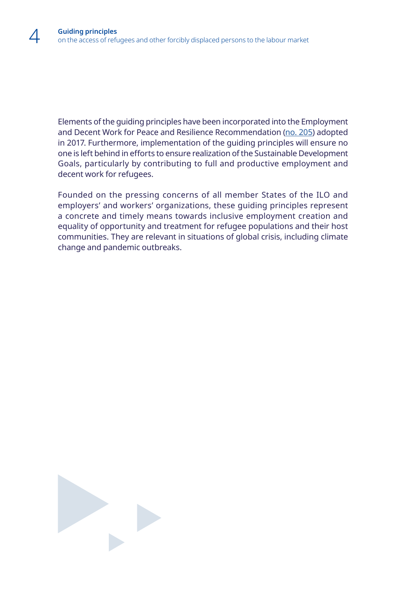Elements of the guiding principles have been incorporated into the Employment and Decent Work for Peace and Resilience Recommendation [\(no. 205](https://www.ilo.org/ilc/ILCSessions/previous-sessions/106/reports/texts-adopted/WCMS_559852/lang--en/index.htm?ssSourceSiteId=global)) adopted in 2017. Furthermore, implementation of the guiding principles will ensure no one is left behind in efforts to ensure realization of the Sustainable Development Goals, particularly by contributing to full and productive employment and decent work for refugees.

Founded on the pressing concerns of all member States of the ILO and employers' and workers' organizations, these guiding principles represent a concrete and timely means towards inclusive employment creation and equality of opportunity and treatment for refugee populations and their host communities. They are relevant in situations of global crisis, including climate change and pandemic outbreaks.

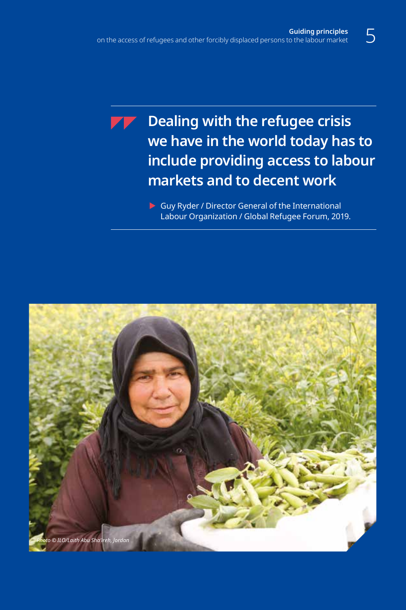**Dealing with the refugee crisis we have in the world today has to include providing access to labour markets and to decent work**

> $\triangleright$  Guy Ryder / Director General of the International Labour Organization / Global Refugee Forum, 2019.

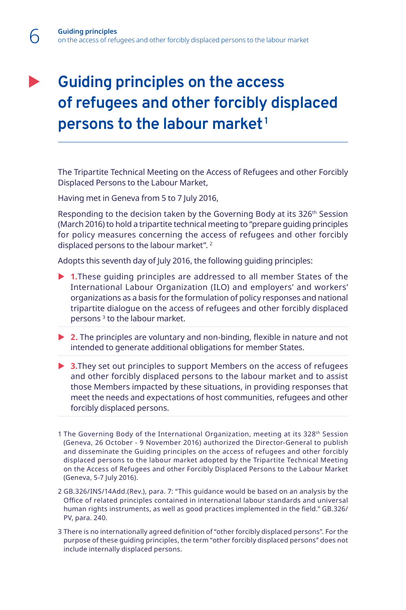#### **Guiding principles on the access of refugees and other forcibly displaced persons to the labour market <sup>1</sup>**

The Tripartite Technical Meeting on the Access of Refugees and other Forcibly Displaced Persons to the Labour Market,

Having met in Geneva from 5 to 7 July 2016,

Responding to the decision taken by the Governing Body at its 326<sup>th</sup> Session (March 2016) to hold a tripartite technical meeting to "prepare guiding principles for policy measures concerning the access of refugees and other forcibly displaced persons to the labour market".<sup>2</sup>

Adopts this seventh day of July 2016, the following guiding principles:

- ▶ 1.These guiding principles are addressed to all member States of the International Labour Organization (ILO) and employers' and workers' organizations as a basis for the formulation of policy responses and national tripartite dialogue on the access of refugees and other forcibly displaced persons 3 to the labour market.
- ▶ 2. The principles are voluntary and non-binding, flexible in nature and not intended to generate additional obligations for member States.
- ▶ **3.**They set out principles to support Members on the access of refugees and other forcibly displaced persons to the labour market and to assist those Members impacted by these situations, in providing responses that meet the needs and expectations of host communities, refugees and other forcibly displaced persons.
- 1 The Governing Body of the International Organization, meeting at its 328<sup>th</sup> Session (Geneva, 26 October - 9 November 2016) authorized the Director-General to publish and disseminate the Guiding principles on the access of refugees and other forcibly displaced persons to the labour market adopted by the Tripartite Technical Meeting on the Access of Refugees and other Forcibly Displaced Persons to the Labour Market (Geneva, 5-7 July 2016).
- 2 GB.326/INS/14Add.(Rev.), para. 7: "This guidance would be based on an analysis by the Office of related principles contained in international labour standards and universal human rights instruments, as well as good practices implemented in the field." GB.326/ PV, para. 240.
- 3 There is no internationally agreed definition of "other forcibly displaced persons". For the purpose of these guiding principles, the term "other forcibly displaced persons" does not include internally displaced persons.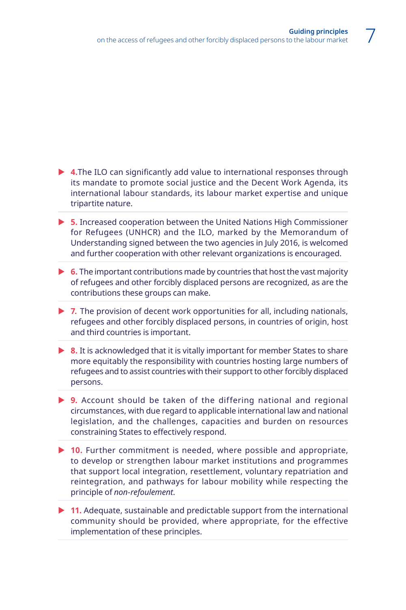- ▶ 4.The ILO can significantly add value to international responses through its mandate to promote social justice and the Decent Work Agenda, its international labour standards, its labour market expertise and unique tripartite nature.
- ▶ 5. Increased cooperation between the United Nations High Commissioner for Refugees (UNHCR) and the ILO, marked by the Memorandum of Understanding signed between the two agencies in July 2016, is welcomed and further cooperation with other relevant organizations is encouraged.
- **► 6.** The important contributions made by countries that host the vast majority of refugees and other forcibly displaced persons are recognized, as are the contributions these groups can make.
- ▶ 7. The provision of decent work opportunities for all, including nationals, refugees and other forcibly displaced persons, in countries of origin, host and third countries is important.
- ▶ 8. It is acknowledged that it is vitally important for member States to share more equitably the responsibility with countries hosting large numbers of refugees and to assist countries with their support to other forcibly displaced persons.
- ▶ 9. Account should be taken of the differing national and regional circumstances, with due regard to applicable international law and national legislation, and the challenges, capacities and burden on resources constraining States to effectively respond.
- ▶ 10. Further commitment is needed, where possible and appropriate, to develop or strengthen labour market institutions and programmes that support local integration, resettlement, voluntary repatriation and reintegration, and pathways for labour mobility while respecting the principle of *non-refoulement*.
- ▶ 11. Adequate, sustainable and predictable support from the international community should be provided, where appropriate, for the effective implementation of these principles.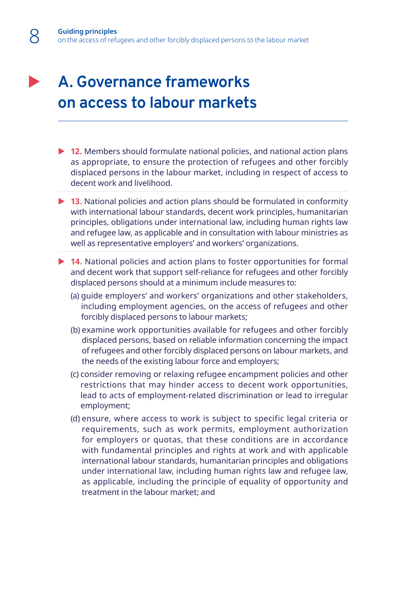#### **A. Governance frameworks on access to labour markets**

- ▶ 12. Members should formulate national policies, and national action plans as appropriate, to ensure the protection of refugees and other forcibly displaced persons in the labour market, including in respect of access to decent work and livelihood.
- ▶ 13. National policies and action plans should be formulated in conformity with international labour standards, decent work principles, humanitarian principles, obligations under international law, including human rights law and refugee law, as applicable and in consultation with labour ministries as well as representative employers' and workers' organizations.
- ▶ 14. National policies and action plans to foster opportunities for formal and decent work that support self-reliance for refugees and other forcibly displaced persons should at a minimum include measures to:
	- (a) guide employers' and workers' organizations and other stakeholders, including employment agencies, on the access of refugees and other forcibly displaced persons to labour markets;
	- (b) examine work opportunities available for refugees and other forcibly displaced persons, based on reliable information concerning the impact of refugees and other forcibly displaced persons on labour markets, and the needs of the existing labour force and employers;
	- (c) consider removing or relaxing refugee encampment policies and other restrictions that may hinder access to decent work opportunities, lead to acts of employment-related discrimination or lead to irregular employment;
	- (d) ensure, where access to work is subject to specific legal criteria or requirements, such as work permits, employment authorization for employers or quotas, that these conditions are in accordance with fundamental principles and rights at work and with applicable international labour standards, humanitarian principles and obligations under international law, including human rights law and refugee law, as applicable, including the principle of equality of opportunity and treatment in the labour market; and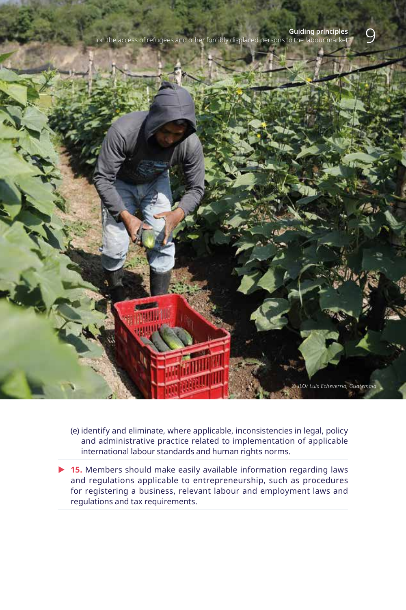on the access of refugees and other forcibly displaced persons to the labour market



(e) identify and eliminate, where applicable, inconsistencies in legal, policy and administrative practice related to implementation of applicable international labour standards and human rights norms.

▶ 15. Members should make easily available information regarding laws and regulations applicable to entrepreneurship, such as procedures for registering a business, relevant labour and employment laws and regulations and tax requirements.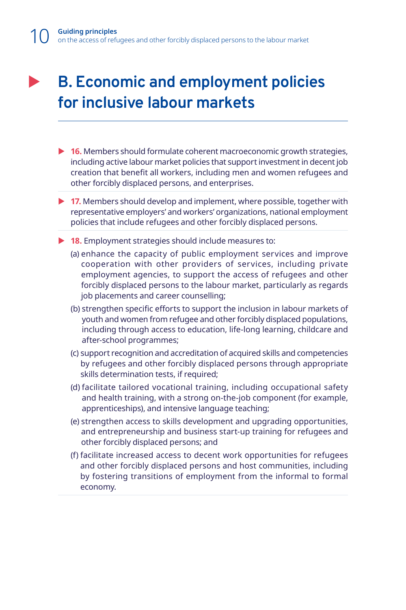#### **B. Economic and employment policies for inclusive labour markets**

- ▶ **16.** Members should formulate coherent macroeconomic growth strategies, including active labour market policies that support investment in decent job creation that benefit all workers, including men and women refugees and other forcibly displaced persons, and enterprises.
- ▶ 17. Members should develop and implement, where possible, together with representative employers' and workers' organizations, national employment policies that include refugees and other forcibly displaced persons.
- ▶ 18. Employment strategies should include measures to:
	- (a) enhance the capacity of public employment services and improve cooperation with other providers of services, including private employment agencies, to support the access of refugees and other forcibly displaced persons to the labour market, particularly as regards job placements and career counselling;
	- (b) strengthen specific efforts to support the inclusion in labour markets of youth and women from refugee and other forcibly displaced populations, including through access to education, life-long learning, childcare and after-school programmes;
	- (c) support recognition and accreditation of acquired skills and competencies by refugees and other forcibly displaced persons through appropriate skills determination tests, if required;
	- (d) facilitate tailored vocational training, including occupational safety and health training, with a strong on-the-job component (for example, apprenticeships), and intensive language teaching;
	- (e) strengthen access to skills development and upgrading opportunities, and entrepreneurship and business start-up training for refugees and other forcibly displaced persons; and
	- (f) facilitate increased access to decent work opportunities for refugees and other forcibly displaced persons and host communities, including by fostering transitions of employment from the informal to formal economy.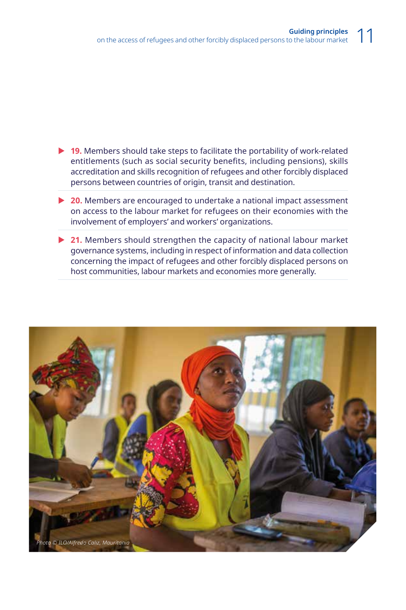- ▶ 19. Members should take steps to facilitate the portability of work-related entitlements (such as social security benefits, including pensions), skills accreditation and skills recognition of refugees and other forcibly displaced persons between countries of origin, transit and destination.
- ▶ **20.** Members are encouraged to undertake a national impact assessment on access to the labour market for refugees on their economies with the involvement of employers' and workers' organizations.
- ▶ 21. Members should strengthen the capacity of national labour market governance systems, including in respect of information and data collection concerning the impact of refugees and other forcibly displaced persons on host communities, labour markets and economies more generally.

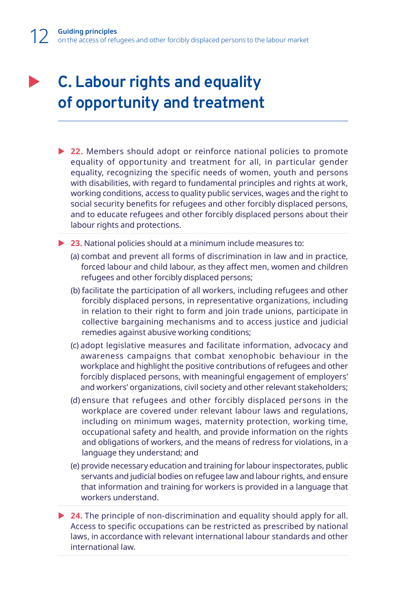#### **C. Labour rights and equality of opportunity and treatment**

- ▶ 22. Members should adopt or reinforce national policies to promote equality of opportunity and treatment for all, in particular gender equality, recognizing the specific needs of women, youth and persons with disabilities, with regard to fundamental principles and rights at work, working conditions, access to quality public services, wages and the right to social security benefits for refugees and other forcibly displaced persons, and to educate refugees and other forcibly displaced persons about their labour rights and protections.
- ▶ 23. National policies should at a minimum include measures to:
	- (a) combat and prevent all forms of discrimination in law and in practice, forced labour and child labour, as they affect men, women and children refugees and other forcibly displaced persons;
	- (b) facilitate the participation of all workers, including refugees and other forcibly displaced persons, in representative organizations, including in relation to their right to form and join trade unions, participate in collective bargaining mechanisms and to access justice and judicial remedies against abusive working conditions;
	- (c) adopt legislative measures and facilitate information, advocacy and awareness campaigns that combat xenophobic behaviour in the workplace and highlight the positive contributions of refugees and other forcibly displaced persons, with meaningful engagement of employers' and workers' organizations, civil society and other relevant stakeholders;
	- (d) ensure that refugees and other forcibly displaced persons in the workplace are covered under relevant labour laws and regulations, including on minimum wages, maternity protection, working time, occupational safety and health, and provide information on the rights and obligations of workers, and the means of redress for violations, in a language they understand; and
	- (e) provide necessary education and training for labour inspectorates, public servants and judicial bodies on refugee law and labour rights, and ensure that information and training for workers is provided in a language that workers understand.
- ▶ 24. The principle of non-discrimination and equality should apply for all. Access to specific occupations can be restricted as prescribed by national laws, in accordance with relevant international labour standards and other international law.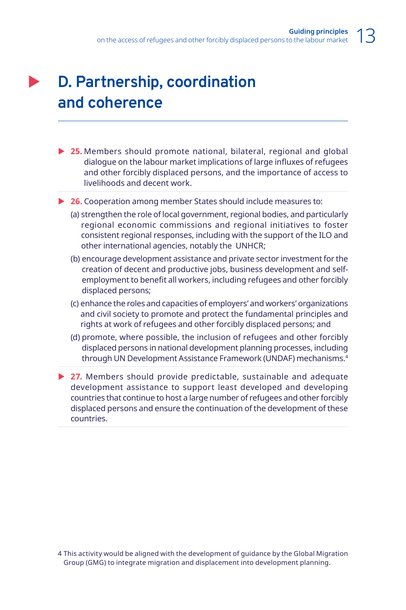#### **D. Partnership, coordination and coherence**

- ▶ 25. Members should promote national, bilateral, regional and global dialogue on the labour market implications of large influxes of refugees and other forcibly displaced persons, and the importance of access to livelihoods and decent work.
- ▶ **26.** Cooperation among member States should include measures to:
	- (a) strengthen the role of local government, regional bodies, and particularly regional economic commissions and regional initiatives to foster consistent regional responses, including with the support of the ILO and other international agencies, notably the UNHCR;
	- (b) encourage development assistance and private sector investment for the creation of decent and productive jobs, business development and selfemployment to benefit all workers, including refugees and other forcibly displaced persons;
	- (c) enhance the roles and capacities of employers' and workers' organizations and civil society to promote and protect the fundamental principles and rights at work of refugees and other forcibly displaced persons; and
	- (d) promote, where possible, the inclusion of refugees and other forcibly displaced persons in national development planning processes, including through UN Development Assistance Framework (UNDAF) mechanisms.4
- ▶ 27. Members should provide predictable, sustainable and adequate development assistance to support least developed and developing countries that continue to host a large number of refugees and other forcibly displaced persons and ensure the continuation of the development of these countries.

<sup>4</sup> This activity would be aligned with the development of guidance by the Global Migration Group (GMG) to integrate migration and displacement into development planning.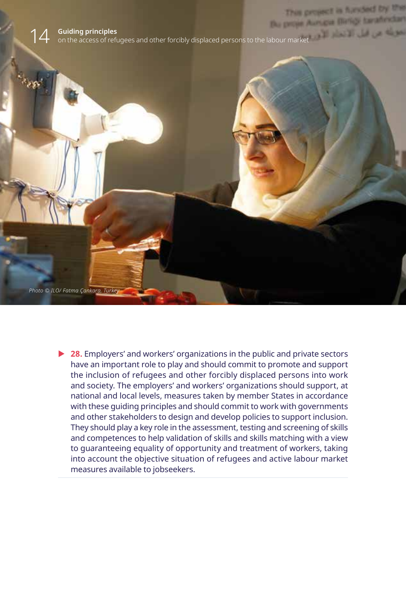

▶ 28. Employers' and workers' organizations in the public and private sectors have an important role to play and should commit to promote and support the inclusion of refugees and other forcibly displaced persons into work and society. The employers' and workers' organizations should support, at national and local levels, measures taken by member States in accordance with these guiding principles and should commit to work with governments and other stakeholders to design and develop policies to support inclusion. They should play a key role in the assessment, testing and screening of skills and competences to help validation of skills and skills matching with a view to guaranteeing equality of opportunity and treatment of workers, taking into account the objective situation of refugees and active labour market measures available to jobseekers.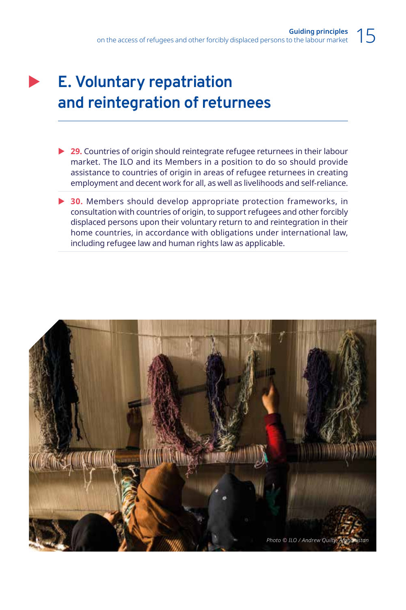### **E. Voluntary repatriation and reintegration of returnees**

- ▶ **29.** Countries of origin should reintegrate refugee returnees in their labour market. The ILO and its Members in a position to do so should provide assistance to countries of origin in areas of refugee returnees in creating employment and decent work for all, as well as livelihoods and self-reliance.
- ▶ 30. Members should develop appropriate protection frameworks, in consultation with countries of origin, to support refugees and other forcibly displaced persons upon their voluntary return to and reintegration in their home countries, in accordance with obligations under international law, including refugee law and human rights law as applicable.

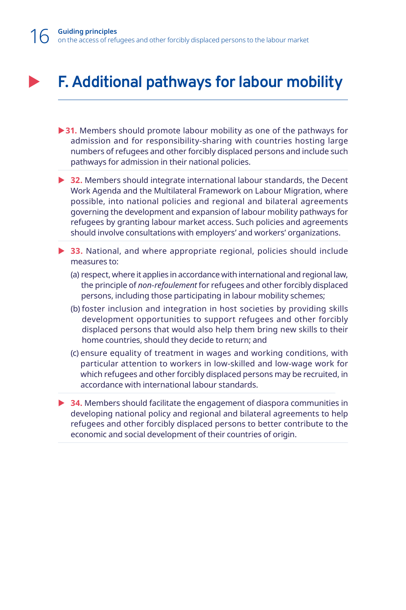#### **F. Additional pathways for labour mobility**

- ▶ 31. Members should promote labour mobility as one of the pathways for admission and for responsibility-sharing with countries hosting large numbers of refugees and other forcibly displaced persons and include such pathways for admission in their national policies.
- ▶ **32.** Members should integrate international labour standards, the Decent Work Agenda and the Multilateral Framework on Labour Migration, where possible, into national policies and regional and bilateral agreements governing the development and expansion of labour mobility pathways for refugees by granting labour market access. Such policies and agreements should involve consultations with employers' and workers' organizations.
- ▶ 33. National, and where appropriate regional, policies should include measures to:
	- (a) respect, where it applies in accordance with international and regional law, the principle of *non-refoulement* for refugees and other forcibly displaced persons, including those participating in labour mobility schemes;
	- (b) foster inclusion and integration in host societies by providing skills development opportunities to support refugees and other forcibly displaced persons that would also help them bring new skills to their home countries, should they decide to return; and
	- (c) ensure equality of treatment in wages and working conditions, with particular attention to workers in low-skilled and low-wage work for which refugees and other forcibly displaced persons may be recruited, in accordance with international labour standards.
- ▶ **34.** Members should facilitate the engagement of diaspora communities in developing national policy and regional and bilateral agreements to help refugees and other forcibly displaced persons to better contribute to the economic and social development of their countries of origin.